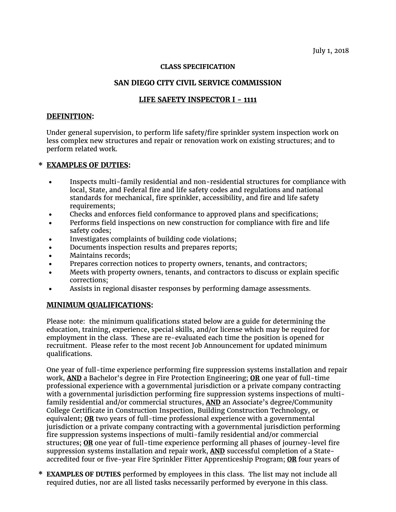July 1, 2018

#### **CLASS SPECIFICATION**

## **SAN DIEGO CITY CIVIL SERVICE COMMISSION**

# **LIFE SAFETY INSPECTOR I - 1111**

### **DEFINITION:**

Under general supervision, to perform life safety/fire sprinkler system inspection work on less complex new structures and repair or renovation work on existing structures; and to perform related work.

### **\* EXAMPLES OF DUTIES:**

- Inspects multi-family residential and non-residential structures for compliance with local, State, and Federal fire and life safety codes and regulations and national standards for mechanical, fire sprinkler, accessibility, and fire and life safety requirements;
- Checks and enforces field conformance to approved plans and specifications;
- Performs field inspections on new construction for compliance with fire and life safety codes;
- Investigates complaints of building code violations;
- Documents inspection results and prepares reports;
- Maintains records;
- Prepares correction notices to property owners, tenants, and contractors;
- Meets with property owners, tenants, and contractors to discuss or explain specific corrections;
- Assists in regional disaster responses by performing damage assessments.

### **MINIMUM QUALIFICATIONS:**

Please note: the minimum qualifications stated below are a guide for determining the education, training, experience, special skills, and/or license which may be required for employment in the class. These are re-evaluated each time the position is opened for recruitment. Please refer to the most recent Job Announcement for updated minimum qualifications.

One year of full-time experience performing fire suppression systems installation and repair work, **AND** a Bachelor's degree in Fire Protection Engineering; **OR** one year of full-time professional experience with a governmental jurisdiction or a private company contracting with a governmental jurisdiction performing fire suppression systems inspections of multifamily residential and/or commercial structures, **AND** an Associate's degree/Community College Certificate in Construction Inspection, Building Construction Technology, or equivalent; **OR** two years of full-time professional experience with a governmental jurisdiction or a private company contracting with a governmental jurisdiction performing fire suppression systems inspections of multi-family residential and/or commercial structures; **OR** one year of full-time experience performing all phases of journey-level fire suppression systems installation and repair work, **AND** successful completion of a Stateaccredited four or five-year Fire Sprinkler Fitter Apprenticeship Program; **OR** four years of

**\* EXAMPLES OF DUTIES** performed by employees in this class. The list may not include all required duties, nor are all listed tasks necessarily performed by everyone in this class.